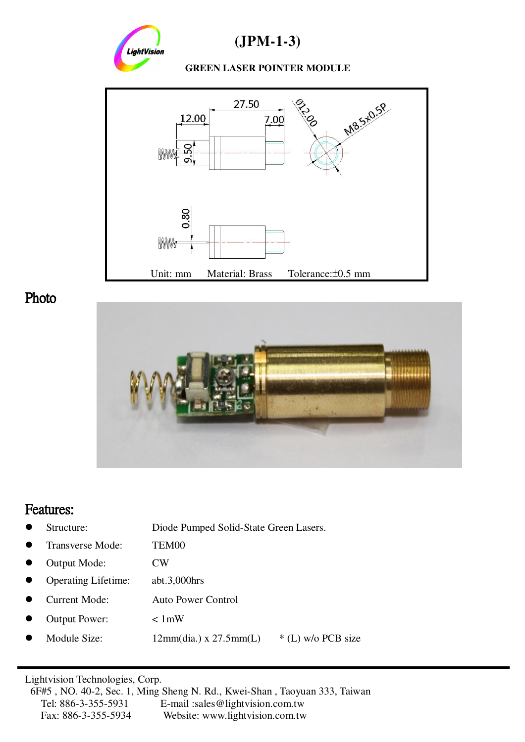

**(JPM-1-3)**

#### **GREEN LASER POINTER MODULE**



-Photo



### Features:

|  | Structure: | Diode Pumped Solid-State Green Lasers. |
|--|------------|----------------------------------------|
|--|------------|----------------------------------------|

- Transverse Mode: TEM00
- Output Mode: CW
- Operating Lifetime: abt.3,000hrs
- Current Mode: Auto Power Control
- Output Power: < 1mW
- Module Size:  $12mm(dia.) \times 27.5mm(L)$  \* (L) w/o PCB size

Lightvision Technologies, Corp.

6F#5 , NO. 40-2, Sec. 1, Ming Sheng N. Rd., Kwei-Shan , Taoyuan 333, Taiwan Tel: 886-3-355-5931 E-mail :sales@lightvision.com.tw Fax: 886-3-355-5934 Website: www.lightvision.com.tw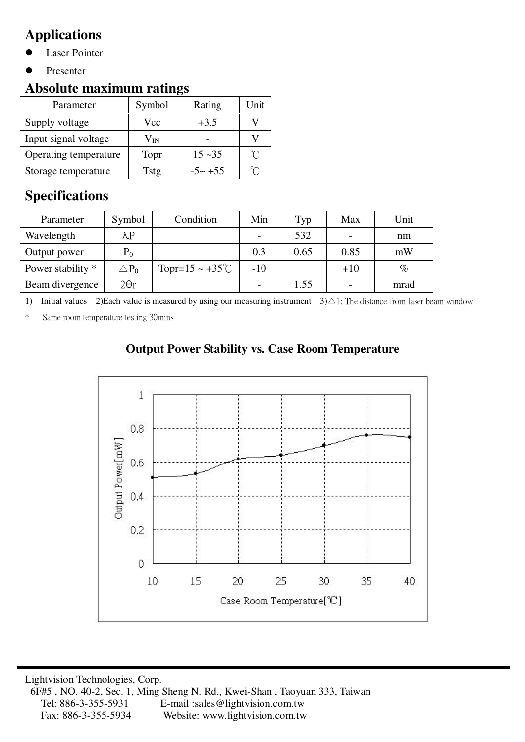# **Applications**

- Laser Pointer
- Presenter

## **Absolute maximum ratings**

| Parameter             | Symbol       | Rating     | Unit |
|-----------------------|--------------|------------|------|
| Supply voltage        | Vcc          | $+3.5$     |      |
| Input signal voltage  | $\rm V_{IN}$ |            |      |
| Operating temperature | Topr         | $15 - 35$  | U    |
| Storage temperature   | Tstg         | $-5 - +55$ | °∩   |

## **Specifications**

| Parameter         | Symbol          | Condition                     | Min   | Typ  | Max   | Unit |
|-------------------|-----------------|-------------------------------|-------|------|-------|------|
| Wavelength        | $\lambda$ P     |                               |       | 532  |       | nm   |
| Output power      | $P_0$           |                               | 0.3   | 0.65 | 0.85  | mW   |
| Power stability * | $\triangle P_0$ | Topr= $15 \sim +35^{\circ}$ C | $-10$ |      | $+10$ | $\%$ |
| Beam divergence   | $2\Theta r$     |                               |       | 1.55 |       | mrad |

1) Initial values 2)Each value is measured by using our measuring instrument  $3)$   $\triangle$  1: The distance from laser beam window

\* Same room temperature testing 30mins

#### **Output Power Stability vs. Case Room Temperature**

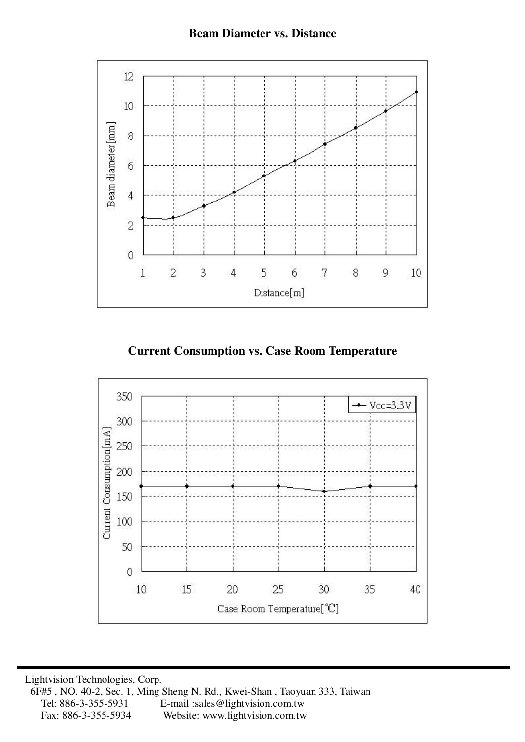

**Current Consumption vs. Case Room Temperature**



Lightvision Technologies, Corp. 6F#5 , NO. 40-2, Sec. 1, Ming Sheng N. Rd., Kwei-Shan , Taoyuan 333, Taiwan Tel: 886-3-355-5931 E-mail :sales@lightvision.com.tw Fax: 886-3-355-5934 Website: www.lightvision.com.tw